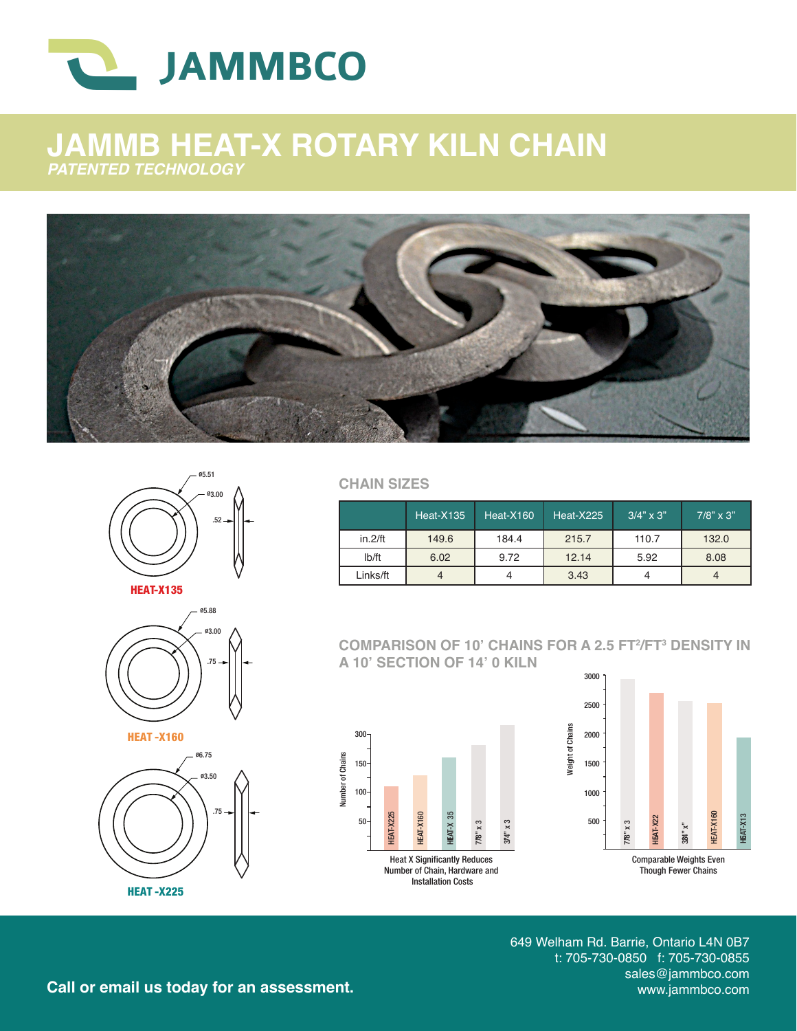

## **JAMMB HEAT-X ROTARY KILN CHAIN** *PATENTED TECHNOLOGY*





HEAT-X135







**CHAIN SIZES**

|               | <b>Heat-X135</b> | Heat-X160 | Heat-X225 | $3/4" \times 3"$ | $7/8$ " x 3" |
|---------------|------------------|-----------|-----------|------------------|--------------|
| $in.2$ /ft    | 149.6            | 184.4     | 215.7     | 110.7            | 132.0        |
| $I\bar{b}/ft$ | 6.02             | 9.72      | 12.14     | 5.92             | 8.08         |
| Links/ft      |                  |           | 3.43      |                  |              |

**COMPARISON OF 10' CHAINS FOR A 2.5 FT2 /FT3 DENSITY IN A 10' SECTION OF 14' 0 KILN**

Weight of Chains

Weight of Chains





649 Welham Rd. Barrie, Ontario L4N 0B7 t: 705-730-0850 f: 705-730-0855 sales@jammbco.com<br>www.jammbco.com

Call or email us today for an assessment.